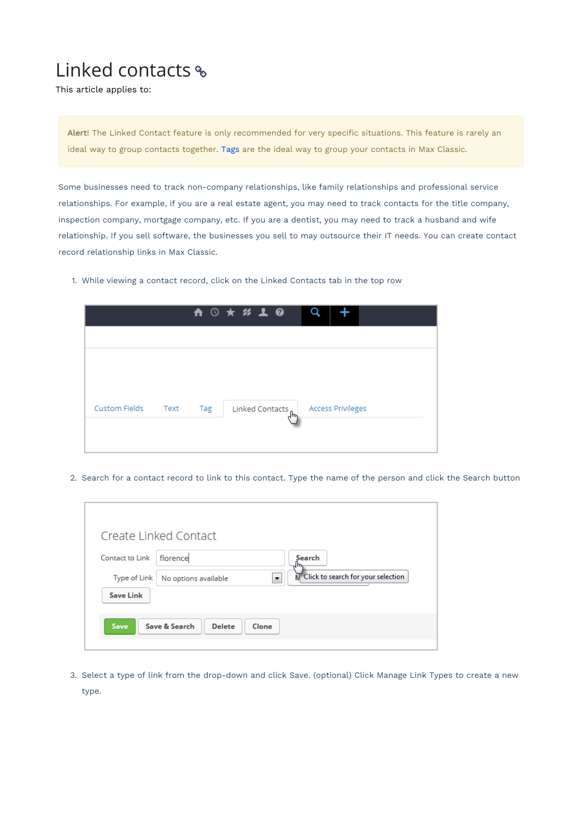## Linked contacts

This article applies to:

Alert! The Linked Contact feature is only recommended for very specific situations. This feature is rarely an ideal way to group contacts together. Tags are the ideal way to group your contacts in Max Classic.

Some businesses need to track non-company relationships, like family relationships and professional service relationships. For example, if you are a real estate agent, you may need to track contacts for the title company, inspection company, mortgage company, etc. If you are a dentist, you may need to track a husband and wife relationship. If you sell software, the businesses you sell to may outsource their IT needs. You can create contact record relationship links in Max Classic.

1. While viewing a contact record, click on the Linked Contacts tab in the top row

|                    |     | A 3 * # 1 0                         |  |
|--------------------|-----|-------------------------------------|--|
|                    |     |                                     |  |
|                    |     |                                     |  |
|                    |     |                                     |  |
| Custom Fields Text | Tag | Linked Contacts   Access Privileges |  |
|                    |     |                                     |  |
|                    |     |                                     |  |

2. Search for a contact record to link to this contact. Type the name of the person and click the Search button

|                  | Create Linked Contact                                                              |
|------------------|------------------------------------------------------------------------------------|
| Contact to Link  | florence<br>Search                                                                 |
| Type of Link     | $\overline{\mathsf{N}}$ Click to search for your selection<br>No options available |
| <b>Save Link</b> |                                                                                    |
| Save             | Save & Search<br><b>Delete</b><br>Clone                                            |

3. Select a type of link from the drop-down and click Save. (optional) Click Manage Link Types to create a new type.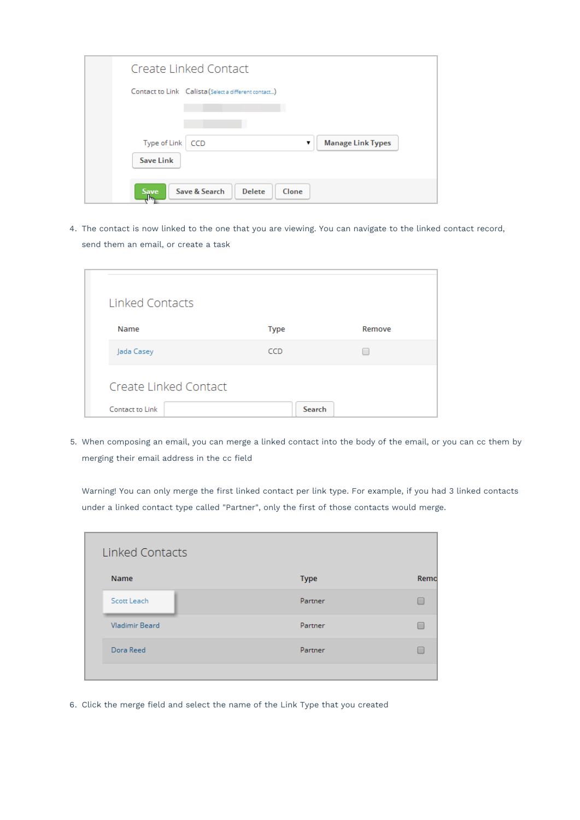| Create Linked Contact                                         |                               |
|---------------------------------------------------------------|-------------------------------|
| Contact to Link Calista (Select a different contact)          |                               |
|                                                               |                               |
| Type of Link<br>CCD                                           | <b>Manage Link Types</b><br>▼ |
| <b>Save Link</b>                                              |                               |
| Save & Search<br><b>Delete</b><br><b>Save</b><br>Clone<br>┧┡╦ |                               |

4. The contact is now linked to the one that you are viewing. You can navigate to the linked contact record, send them an email, or create a task

| Linked Contacts       |             |        |
|-----------------------|-------------|--------|
| Name                  | <b>Type</b> | Remove |
| Jada Casey            | CCD         |        |
| Create Linked Contact |             |        |
| Contact to Link       | Search      |        |

5. When composing an email, you can merge a linked contact into the body of the email, or you can cc them by merging their email address in the cc field

Warning! You can only merge the first linked contact per link type. For example, if you had 3 linked contacts under a linked contact type called "Partner", only the first of those contacts would merge.

| Linked Contacts       |             |      |
|-----------------------|-------------|------|
| <b>Name</b>           | <b>Type</b> | Remo |
| Scott Leach           | Partner     |      |
| <b>Vladimir Beard</b> | Partner     |      |
| Dora Reed             | Partner     |      |
|                       |             |      |

6. Click the merge field and select the name of the Link Type that you created